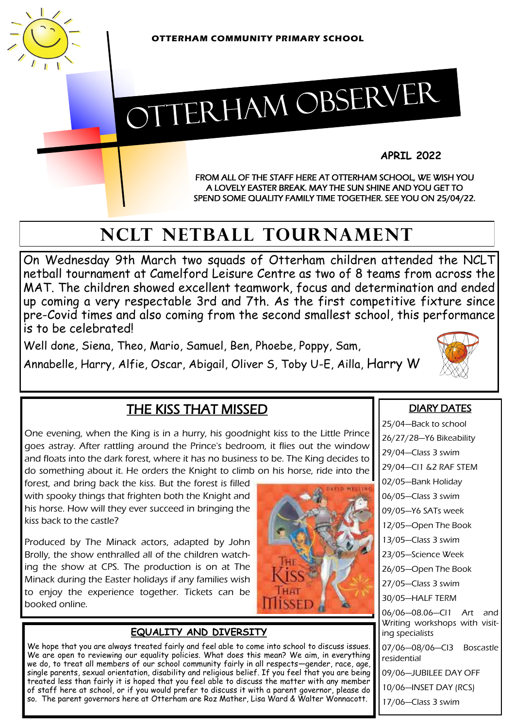

# OTTERHAM OBSERVER

**APRIL 2022**

FROM ALL OF THE STAFF HERE AT OTTERHAM SCHOOL, WE WISH YOU A LOVELY EASTER BREAK. MAY THE SUN SHINE AND YOU GET TO SPEND SOME QUALITY FAMILY TIME TOGETHER. SEE YOU ON 25/04/22.

## **NCLT NETBALL TOURNAMENT**

On Wednesday 9th March two squads of Otterham children attended the NCLT netball tournament at Camelford Leisure Centre as two of 8 teams from across the MAT. The children showed excellent teamwork, focus and determination and ended up coming a very respectable 3rd and 7th. As the first competitive fixture since pre-Covid times and also coming from the second smallest school, this performance is to be celebrated!

Well done, Siena, Theo, Mario, Samuel, Ben, Phoebe, Poppy, Sam,

Annabelle, Harry, Alfie, Oscar, Abigail, Oliver S, Toby U-E, Ailla, Harry W



### THE KISS THAT MISSED

One evening, when the King is in a hurry, his goodnight kiss to the Little Prince goes astray. After rattling around the Prince's bedroom, it flies out the window and floats into the dark forest, where it has no business to be. The King decides to do something about it. He orders the Knight to climb on his horse, ride into the

forest, and bring back the kiss. But the forest is filled with spooky things that frighten both the Knight and his horse. How will they ever succeed in bringing the kiss back to the castle?

Produced by The Minack actors, adapted by John Brolly, the show enthralled all of the children watching the show at CPS. The production is on at The Minack during the Easter holidays if any families wish to enjoy the experience together. Tickets can be booked online.

#### **EQUALITY AND DIVERSITY**

We hope that you are always treated fairly and feel able to come into school to discuss issues. We are open to reviewing our equality policies. What does this mean? We aim, in everything we do, to treat all members of our school community fairly in all respects—gender, race, age, single parents, sexual orientation, disability and religious belief. If you feel that you are being treated less than fairly it is hoped that you feel able to discuss the matter with any member of staff here at school, or if you would prefer to discuss it with a parent governor, please do so. The parent governors here at Otterham are Roz Mather, Lisa Ward & Walter Wonnacott.

#### DIARY DATES

25/04—Back to school 26/27/28—Y6 Bikeability 29/04—Class 3 swim 29/04—Cl1 &2 RAF STEM 02/05—Bank Holiday 06/05—Class 3 swim 09/05—Y6 SATs week 12/05—Open The Book 13/05—Class 3 swim 23/05—Science Week 26/05—Open The Book 27/05—Class 3 swim 30/05—HALF TERM 06/06—08.06—Cl1 Art and Writing workshops with visiting specialists 07/06—08/06—Cl3 Boscastle residential 09/06—JUBILEE DAY OFF 10/06—INSET DAY (RCS) 17/06—Class 3 swim